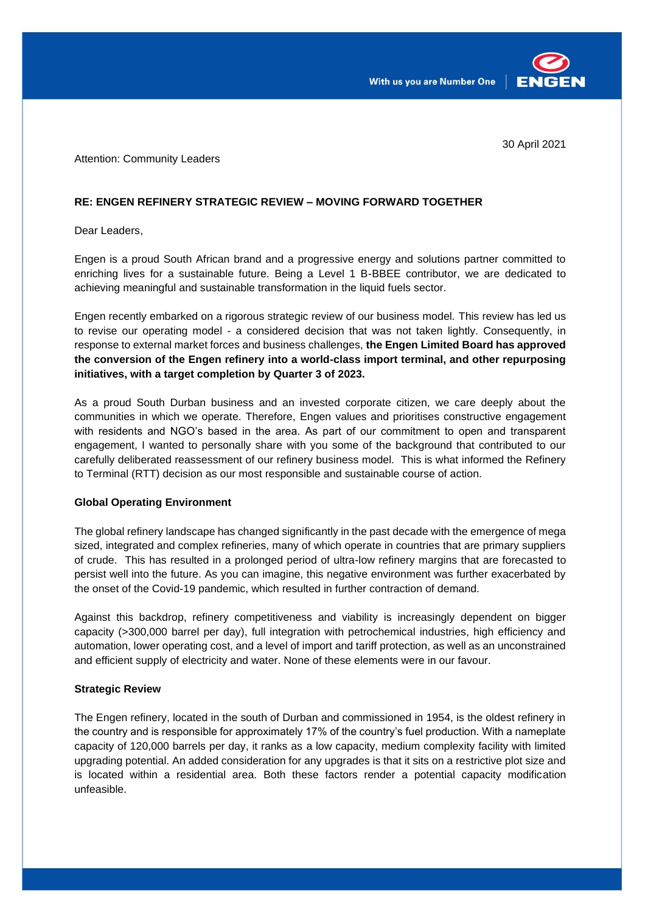



30 April 2021

Attention: Community Leaders

## **RE: ENGEN REFINERY STRATEGIC REVIEW – MOVING FORWARD TOGETHER**

Dear Leaders,

Engen is a proud South African brand and a progressive energy and solutions partner committed to enriching lives for a sustainable future. Being a Level 1 B-BBEE contributor, we are dedicated to achieving meaningful and sustainable transformation in the liquid fuels sector.

Engen recently embarked on a rigorous strategic review of our business model. This review has led us to revise our operating model - a considered decision that was not taken lightly. Consequently, in response to external market forces and business challenges, **the Engen Limited Board has approved the conversion of the Engen refinery into a world-class import terminal, and other repurposing initiatives, with a target completion by Quarter 3 of 2023.**

As a proud South Durban business and an invested corporate citizen, we care deeply about the communities in which we operate. Therefore, Engen values and prioritises constructive engagement with residents and NGO's based in the area. As part of our commitment to open and transparent engagement, I wanted to personally share with you some of the background that contributed to our carefully deliberated reassessment of our refinery business model. This is what informed the Refinery to Terminal (RTT) decision as our most responsible and sustainable course of action.

# **Global Operating Environment**

The global refinery landscape has changed significantly in the past decade with the emergence of mega sized, integrated and complex refineries, many of which operate in countries that are primary suppliers of crude. This has resulted in a prolonged period of ultra-low refinery margins that are forecasted to persist well into the future. As you can imagine, this negative environment was further exacerbated by the onset of the Covid-19 pandemic, which resulted in further contraction of demand.

Against this backdrop, refinery competitiveness and viability is increasingly dependent on bigger capacity (>300,000 barrel per day), full integration with petrochemical industries, high efficiency and automation, lower operating cost, and a level of import and tariff protection, as well as an unconstrained and efficient supply of electricity and water. None of these elements were in our favour.

### **Strategic Review**

The Engen refinery, located in the south of Durban and commissioned in 1954, is the oldest refinery in the country and is responsible for approximately 17% of the country's fuel production. With a nameplate capacity of 120,000 barrels per day, it ranks as a low capacity, medium complexity facility with limited upgrading potential. An added consideration for any upgrades is that it sits on a restrictive plot size and is located within a residential area. Both these factors render a potential capacity modification unfeasible.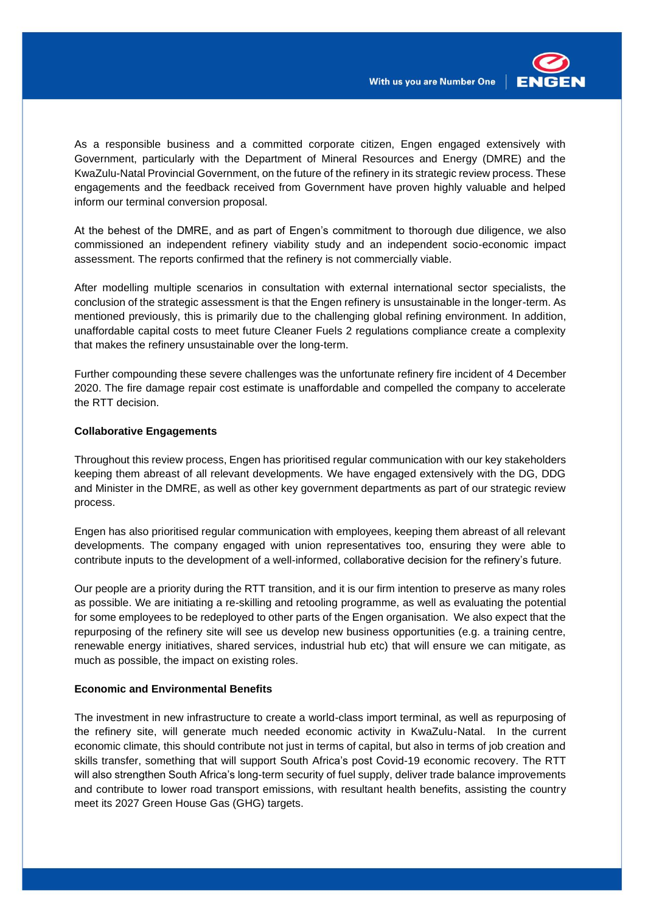

As a responsible business and a committed corporate citizen, Engen engaged extensively with Government, particularly with the Department of Mineral Resources and Energy (DMRE) and the KwaZulu-Natal Provincial Government, on the future of the refinery in its strategic review process. These engagements and the feedback received from Government have proven highly valuable and helped inform our terminal conversion proposal.

At the behest of the DMRE, and as part of Engen's commitment to thorough due diligence, we also commissioned an independent refinery viability study and an independent socio-economic impact assessment. The reports confirmed that the refinery is not commercially viable.

After modelling multiple scenarios in consultation with external international sector specialists, the conclusion of the strategic assessment is that the Engen refinery is unsustainable in the longer-term. As mentioned previously, this is primarily due to the challenging global refining environment. In addition, unaffordable capital costs to meet future Cleaner Fuels 2 regulations compliance create a complexity that makes the refinery unsustainable over the long-term.

Further compounding these severe challenges was the unfortunate refinery fire incident of 4 December 2020. The fire damage repair cost estimate is unaffordable and compelled the company to accelerate the RTT decision.

#### **Collaborative Engagements**

Throughout this review process, Engen has prioritised regular communication with our key stakeholders keeping them abreast of all relevant developments. We have engaged extensively with the DG, DDG and Minister in the DMRE, as well as other key government departments as part of our strategic review process.

Engen has also prioritised regular communication with employees, keeping them abreast of all relevant developments. The company engaged with union representatives too, ensuring they were able to contribute inputs to the development of a well-informed, collaborative decision for the refinery's future.

Our people are a priority during the RTT transition, and it is our firm intention to preserve as many roles as possible. We are initiating a re-skilling and retooling programme, as well as evaluating the potential for some employees to be redeployed to other parts of the Engen organisation. We also expect that the repurposing of the refinery site will see us develop new business opportunities (e.g. a training centre, renewable energy initiatives, shared services, industrial hub etc) that will ensure we can mitigate, as much as possible, the impact on existing roles.

## **Economic and Environmental Benefits**

The investment in new infrastructure to create a world-class import terminal, as well as repurposing of the refinery site, will generate much needed economic activity in KwaZulu-Natal. In the current economic climate, this should contribute not just in terms of capital, but also in terms of job creation and skills transfer, something that will support South Africa's post Covid-19 economic recovery. The RTT will also strengthen South Africa's long-term security of fuel supply, deliver trade balance improvements and contribute to lower road transport emissions, with resultant health benefits, assisting the country meet its 2027 Green House Gas (GHG) targets.